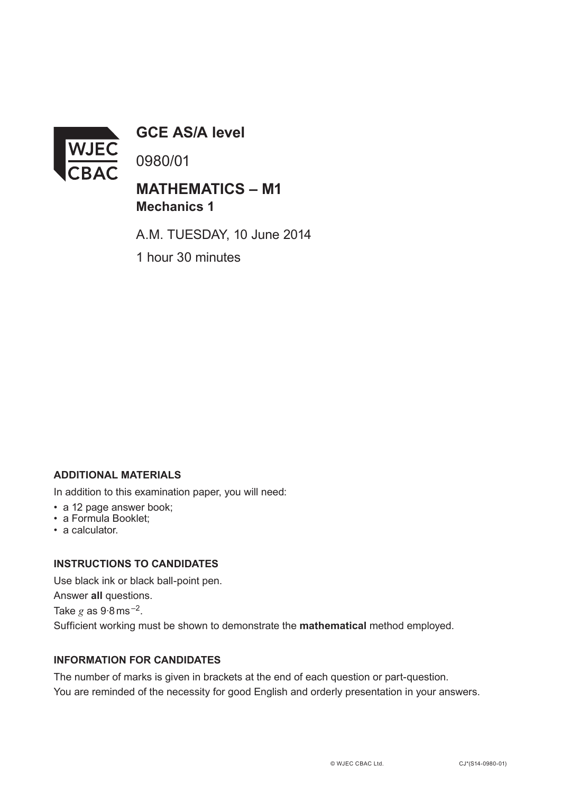

**GCE AS/A level**

0980/01

# **MATHEMATICS – M1 Mechanics 1**

A.M. TUESDAY, 10 June 2014

1 hour 30 minutes

## **ADDITIONAL MATERIALS**

In addition to this examination paper, you will need:

- a 12 page answer book;
- a Formula Booklet;
- a calculator.

#### **INSTRUCTIONS TO CANDIDATES**

Use black ink or black ball-point pen. Answer **all** questions. Take  $g$  as  $9.8$  ms<sup> $-2$ </sup>. Sufficient working must be shown to demonstrate the **mathematical** method employed.

## **INFORMATION FOR CANDIDATES**

The number of marks is given in brackets at the end of each question or part-question. You are reminded of the necessity for good English and orderly presentation in your answers.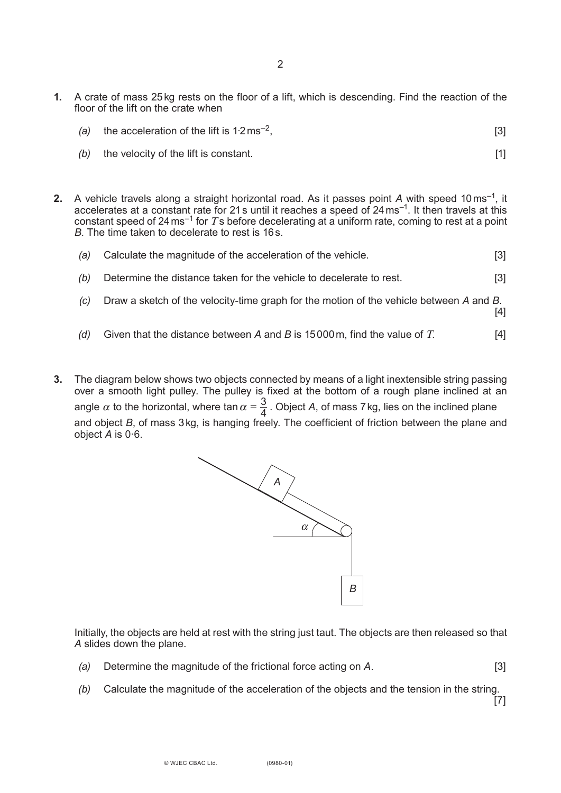- **1.** A crate of mass 25kg rests on the floor of a lift, which is descending. Find the reaction of the floor of the lift on the crate when
	- (a) the acceleration of the lift is  $1.2 \text{ ms}^{-2}$ . [3]
	- *(b)* the velocity of the lift is constant. *II* is the set of the lift is constant.
- **2.** A vehicle travels along a straight horizontal road. As it passes point *A* with speed 10ms–1, it accelerates at a constant rate for 21 s until it reaches a speed of  $24 \,\mathrm{ms}^{-1}$ . It then travels at this constant speed of 24ms–1 for *T*s before decelerating at a uniform rate, coming to rest at a point *B*. The time taken to decelerate to rest is 16s.
	- *(a)* Calculate the magnitude of the acceleration of the vehicle. [3]
	- *(b)* Determine the distance taken for the vehicle to decelerate to rest. [3]
	- *(c)* Draw a sketch of the velocity-time graph for the motion of the vehicle between *A* and *B*.

[4]

- *(d)* Given that the distance between *A* and *B* is 15000m, find the value of *T*. [4]
- **3.** The diagram below shows two objects connected by means of a light inextensible string passing over a smooth light pulley. The pulley is fixed at the bottom of a rough plane inclined at an angle  $\alpha$  to the horizontal, where tan  $\alpha = \frac{3}{4}$ . Object *A*, of mass 7 kg, lies on the inclined plane and object *B*, of mass 3kg, is hanging freely. The coefficient of friction between the plane and object *A* is 0·6.



Initially, the objects are held at rest with the string just taut. The objects are then released so that *A* slides down the plane.

- *(a)* Determine the magnitude of the frictional force acting on *A*. [3]
- *(b)* Calculate the magnitude of the acceleration of the objects and the tension in the string.

[7]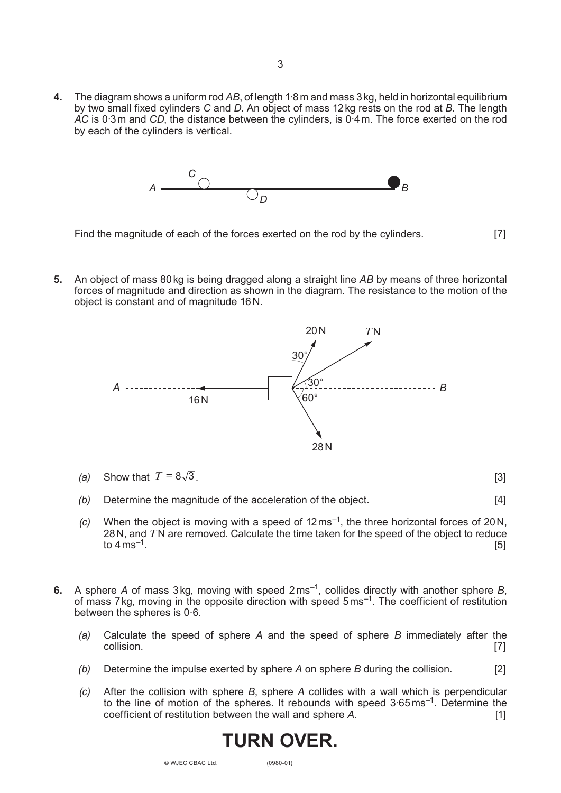**4.** The diagram shows a uniform rod *AB*, of length 1·8m and mass 3kg, held in horizontal equilibrium by two small fixed cylinders *C* and *D*. An object of mass 12kg rests on the rod at *B*. The length *AC* is 0·3m and *CD*, the distance between the cylinders, is 0·4m. The force exerted on the rod by each of the cylinders is vertical.



- Find the magnitude of each of the forces exerted on the rod by the cylinders. [7]
- **5.** An object of mass 80kg is being dragged along a straight line *AB* by means of three horizontal forces of magnitude and direction as shown in the diagram. The resistance to the motion of the object is constant and of magnitude 16N.



- (a) Show that  $T = 8\sqrt{3}$ . [3]
- *(b)* Determine the magnitude of the acceleration of the object. [4]
- *(c)* When the object is moving with a speed of 12ms–1, the three horizontal forces of 20N, 28N, and *T*N are removed. Calculate the time taken for the speed of the object to reduce to 4 ms<sup>–1</sup>. [5]
- **6.** A sphere *A* of mass 3kg, moving with speed 2ms–1, collides directly with another sphere *B*, of mass 7kg, moving in the opposite direction with speed 5ms–1. The coefficient of restitution between the spheres is 0·6.
	- *(a)* Calculate the speed of sphere *A* and the speed of sphere *B* immediately after the  $\blacksquare$ collision.  $\blacksquare$
	- *(b)* Determine the impulse exerted by sphere *A* on sphere *B* during the collision. [2]
	- *(c)* After the collision with sphere *B*, sphere *A* collides with a wall which is perpendicular to the line of motion of the spheres. It rebounds with speed 3·65ms–1. Determine the coefficient of restitution between the wall and sphere *A*. [1]

# 3

**Turn over .**